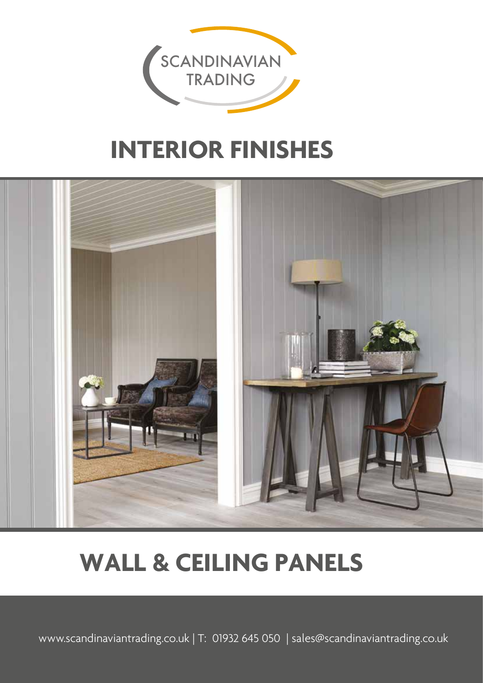

# **INTERIOR FINISHES**



# **WALL & CEILING PANELS**

www.scandinaviantrading.co.uk | T: 01932 645 050 | sales@scandinaviantrading.co.uk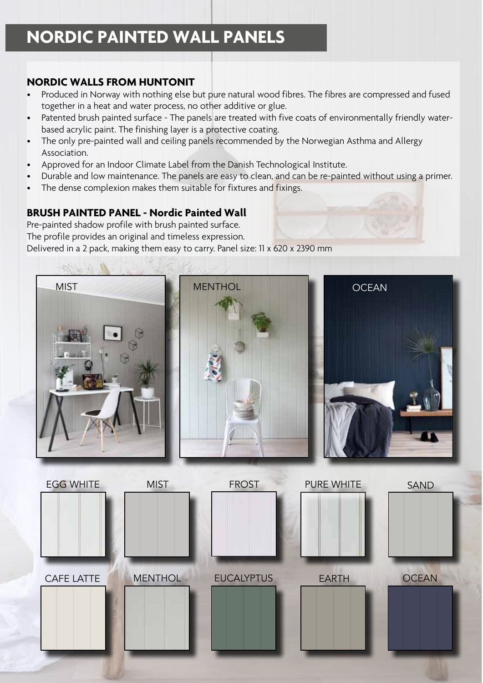## **NORDIC PAINTED WALL PANELS**

### **NORDIC WALLS FROM HUNTONIT**

- Produced in Norway with nothing else but pure natural wood fibres. The fibres are compressed and fused together in a heat and water process, no other additive or glue.
- Patented brush painted surface The panels are treated with five coats of environmentally friendly waterbased acrylic paint. The finishing layer is a protective coating.
- The only pre-painted wall and ceiling panels recommended by the Norwegian Asthma and Allergy Association.
- Approved for an Indoor Climate Label from the Danish Technological Institute.
- Durable and low maintenance. The panels are easy to clean, and can be re-painted without using a primer.
- The dense complexion makes them suitable for fixtures and fixings.

## **BRUSH PAINTED PANEL - Nordic Painted Wall**

Pre-painted shadow profile with brush painted surface. The profile provides an original and timeless expression. Delivered in a 2 pack, making them easy to carry. Panel size: 11 x 620 x 2390 mm

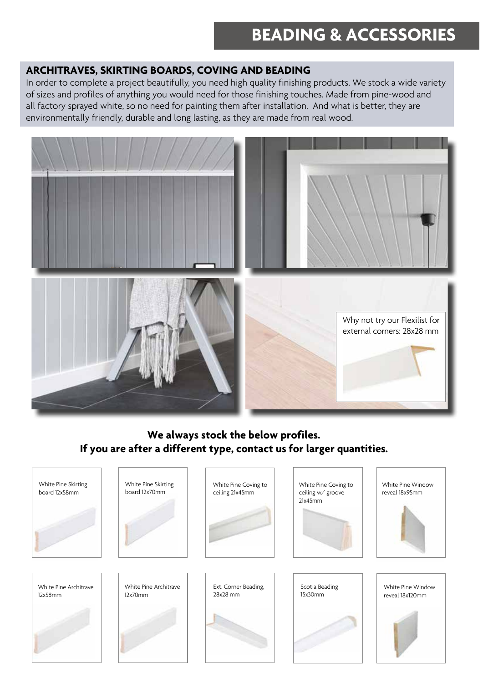## **BEADING & ACCESSORIES**

### **ARCHITRAVES, SKIRTING BOARDS, COVING AND BEADING**

In order to complete a project beautifully, you need high quality finishing products. We stock a wide variety of sizes and profiles of anything you would need for those finishing touches. Made from pine-wood and all factory sprayed white, so no need for painting them after installation. And what is better, they are environmentally friendly, durable and long lasting, as they are made from real wood.



## **We always stock the below profiles. If you are after a different type, contact us for larger quantities.**

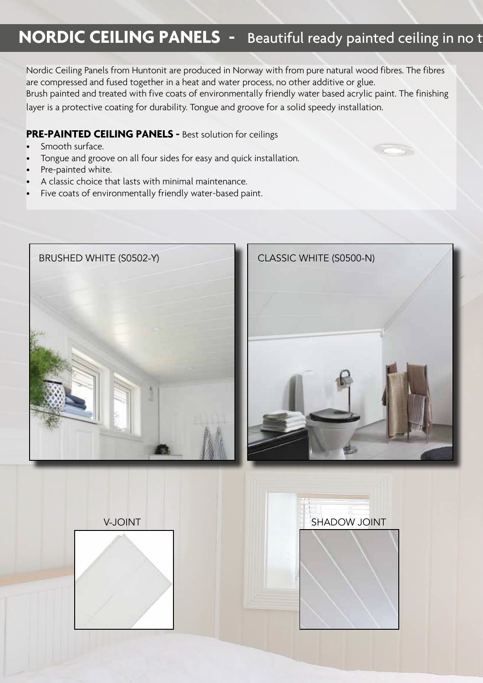## **NORDIC CEILING PANELS -** Beautiful ready painted ceiling in no t

Nordic Ceiling Panels from Huntonit are produced in Norway with from pure natural wood fibres. The fibres are compressed and fused together in a heat and water process, no other additive or glue. Brush painted and treated with five coats of environmentally friendly water based acrylic paint. The finishing layer is a protective coating for durability. Tongue and groove for a solid speedy installation.

#### **PRE-PAINTED CEILING PANELS -** Best solution for ceilings

- Smooth surface.
- Tongue and groove on all four sides for easy and quick installation.
- Pre-painted white.
- A classic choice that lasts with minimal maintenance.
- Five coats of environmentally friendly water-based paint.



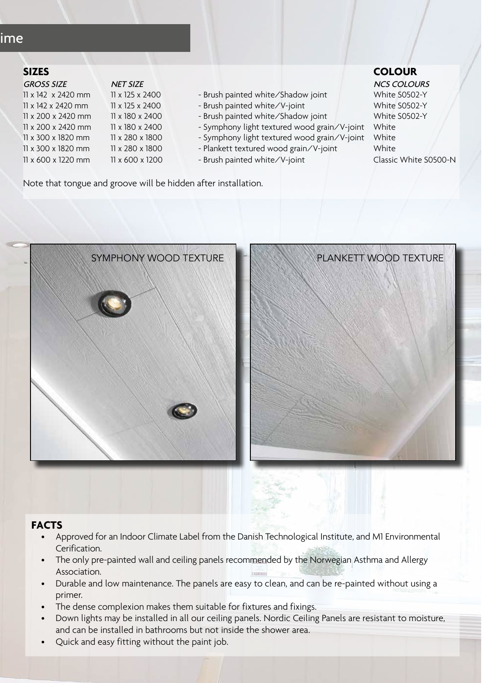## ime

| <b>SIZES</b>       |                 |                                              | <b>COLOUR</b>    |
|--------------------|-----------------|----------------------------------------------|------------------|
| <b>GROSS SIZE</b>  | <b>NET SIZE</b> |                                              | <b>NCS COLOI</b> |
| 11 x 142 x 2420 mm | 11 x 125 x 2400 | - Brush painted white/Shadow joint           | White S050       |
| 11 x 142 x 2420 mm | 11 x 125 x 2400 | - Brush painted white/V-joint                | White S050       |
| 11 x 200 x 2420 mm | 11 x 180 x 2400 | - Brush painted white/Shadow joint           | White S050       |
| 11 x 200 x 2420 mm | 11 x 180 x 2400 | - Symphony light textured wood grain/V-joint | White            |
| 11 x 300 x 1820 mm | 11 x 280 x 1800 | - Symphony light textured wood grain/V-joint | White            |
| 11 x 300 x 1820 mm | 11 x 280 x 1800 | - Plankett textured wood grain/V-joint       | White            |
| 11 x 600 x 1220 mm | 11 x 600 x 1200 | - Brush painted white/V-joint                | Classic Whit     |

| - 1 - 11 - 11 - 1   |                                              | <b>INCJ COLOUNJ</b> |
|---------------------|----------------------------------------------|---------------------|
| x 125 x 2400        | - Brush painted white/Shadow joint           | White S0502-Y       |
| x 125 x 2400        | - Brush painted white/V-joint                | White S0502-Y       |
| x 180 x 2400        | - Brush painted white/Shadow joint           | White S0502-Y       |
| x 180 x 2400        | - Symphony light textured wood grain/V-joint | White               |
| x 280 x 1800        | - Symphony light textured wood grain/V-joint | White               |
| x 280 x 1800        | - Plankett textured wood grain/V-joint       | White               |
| $(200 \times 1200)$ | $Druch$ painted white $\Delta U$ in $t$      | $Cl = (M/h) + C$    |

ET SIZE NET SIZE AND STRUCK SIZE SIZE AND STRUCK SIZE AND STRUCK SIZE AND STRUCK SIZE AND STRUCK SIZE AND STRUCK 11 x 600 x 1200 - Brush painted white/V-joint Classic White S0500-N

Note that tongue and groove will be hidden after installation.





#### **FACTS**

- Approved for an Indoor Climate Label from the Danish Technological Institute, and M1 Environmental Cerification.
- The only pre-painted wall and ceiling panels recommended by the Norwegian Asthma and Allergy Association.
- Durable and low maintenance. The panels are easy to clean, and can be re-painted without using a primer.
- The dense complexion makes them suitable for fixtures and fixings.
- Down lights may be installed in all our ceiling panels. Nordic Ceiling Panels are resistant to moisture, and can be installed in bathrooms but not inside the shower area.
- Quick and easy fitting without the paint job.